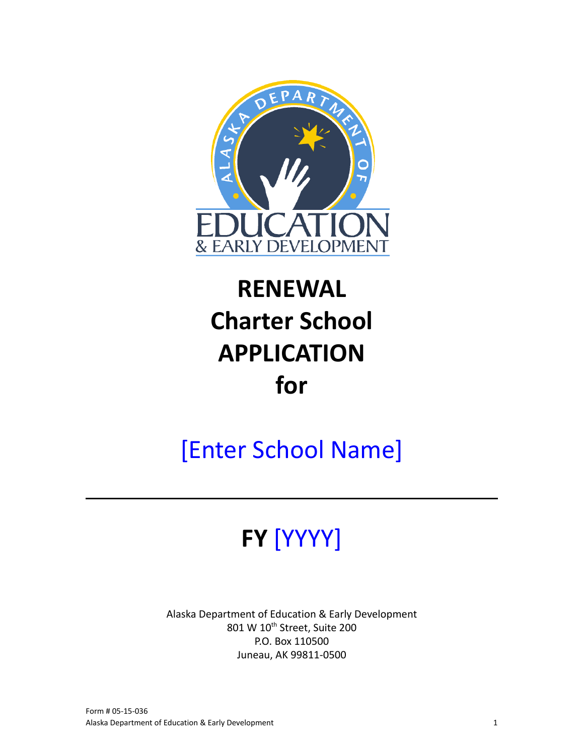

# **RENEWAL Charter School APPLICATION for**

# [Enter School Name]

# **FY** [YYYY]

Alaska Department of Education & Early Development 801 W 10<sup>th</sup> Street, Suite 200 P.O. Box 110500 Juneau, AK 99811-0500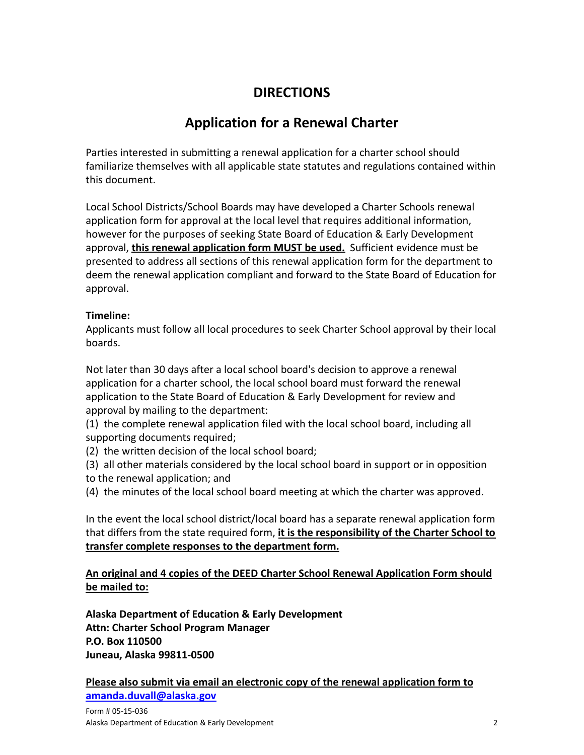# **DIRECTIONS**

# **Application for a Renewal Charter**

Parties interested in submitting a renewal application for a charter school should familiarize themselves with all applicable state statutes and regulations contained within this document.

Local School Districts/School Boards may have developed a Charter Schools renewal application form for approval at the local level that requires additional information, however for the purposes of seeking State Board of Education & Early Development approval, **this renewal application form MUST be used.** Sufficient evidence must be presented to address all sections of this renewal application form for the department to deem the renewal application compliant and forward to the State Board of Education for approval.

# **Timeline:**

Applicants must follow all local procedures to seek Charter School approval by their local boards.

Not later than 30 days after a local school board's decision to approve a renewal application for a charter school, the local school board must forward the renewal application to the State Board of Education & Early Development for review and approval by mailing to the department:

- (1) the complete renewal application filed with the local school board, including all supporting documents required;
- (2) the written decision of the local school board;
- (3) all other materials considered by the local school board in support or in opposition to the renewal application; and
- (4) the minutes of the local school board meeting at which the charter was approved.

In the event the local school district/local board has a separate renewal application form that differs from the state required form, **it is the responsibility of the Charter School to transfer complete responses to the department form.**

# **An original and 4 copies of the DEED Charter School Renewal Application Form should be mailed to:**

**Alaska Department of Education & Early Development Attn: Charter School Program Manager P.O. Box 110500 Juneau, Alaska 99811-0500**

**Please also submit via email an electronic copy of the renewal application form to [amanda.duvall@alaska.gov](mailto:amanda.duvall@alaska.gov)**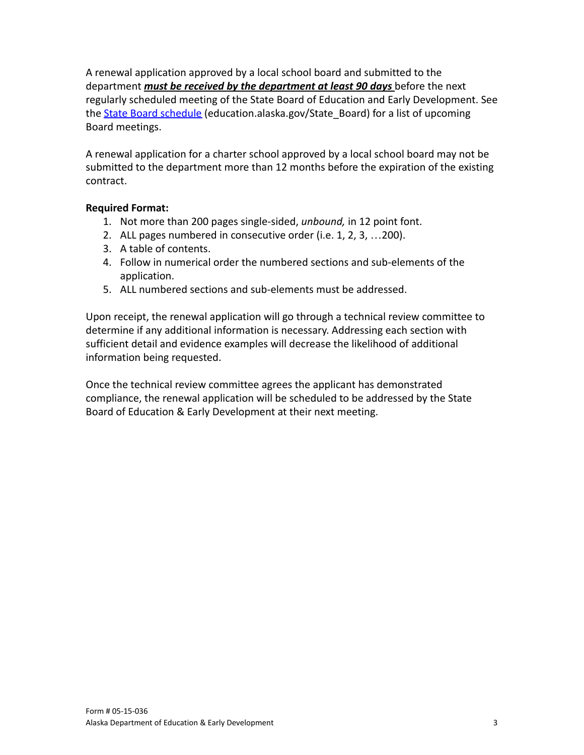A renewal application approved by a local school board and submitted to the department *must be received by the department at least 90 days* before the next regularly scheduled meeting of the State Board of Education and Early Development. See the **[State Board schedule](https://education.alaska.gov/State_Board)** (education.alaska.gov/State Board) for a list of upcoming Board meetings.

A renewal application for a charter school approved by a local school board may not be submitted to the department more than 12 months before the expiration of the existing contract.

#### **Required Format:**

- 1. Not more than 200 pages single-sided, *unbound,* in 12 point font.
- 2. ALL pages numbered in consecutive order (i.e. 1, 2, 3, …200).
- 3. A table of contents.
- 4. Follow in numerical order the numbered sections and sub-elements of the application.
- 5. ALL numbered sections and sub-elements must be addressed.

Upon receipt, the renewal application will go through a technical review committee to determine if any additional information is necessary. Addressing each section with sufficient detail and evidence examples will decrease the likelihood of additional information being requested.

Once the technical review committee agrees the applicant has demonstrated compliance, the renewal application will be scheduled to be addressed by the State Board of Education & Early Development at their next meeting.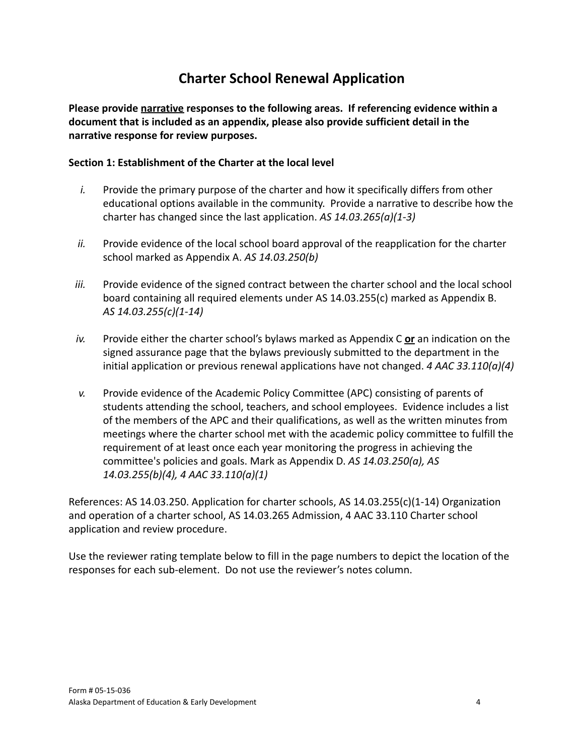# **Charter School Renewal Application**

**Please provide narrative responses to the following areas. If referencing evidence within a document that is included as an appendix, please also provide sufficient detail in the narrative response for review purposes.**

# **Section 1: Establishment of the Charter at the local level**

- *i.* Provide the primary purpose of the charter and how it specifically differs from other educational options available in the community. Provide a narrative to describe how the charter has changed since the last application. *AS 14.03.265(a)(1-3)*
- *ii.* Provide evidence of the local school board approval of the reapplication for the charter school marked as Appendix A. *AS 14.03.250(b)*
- *iii.* Provide evidence of the signed contract between the charter school and the local school board containing all required elements under AS 14.03.255(c) marked as Appendix B. *AS 14.03.255(c)(1-14)*
- *iv.* Provide either the charter school's bylaws marked as Appendix C **or** an indication on the signed assurance page that the bylaws previously submitted to the department in the initial application or previous renewal applications have not changed. *4 AAC 33.110(a)(4)*
- *v.* Provide evidence of the Academic Policy Committee (APC) consisting of parents of students attending the school, teachers, and school employees. Evidence includes a list of the members of the APC and their qualifications, as well as the written minutes from meetings where the charter school met with the academic policy committee to fulfill the requirement of at least once each year monitoring the progress in achieving the committee's policies and goals. Mark as Appendix D. *AS 14.03.250(a), AS 14.03.255(b)(4), 4 AAC 33.110(a)(1)*

References: AS 14.03.250. Application for charter schools, AS 14.03.255(c)(1-14) Organization and operation of a charter school, AS 14.03.265 Admission, 4 AAC 33.110 Charter school application and review procedure.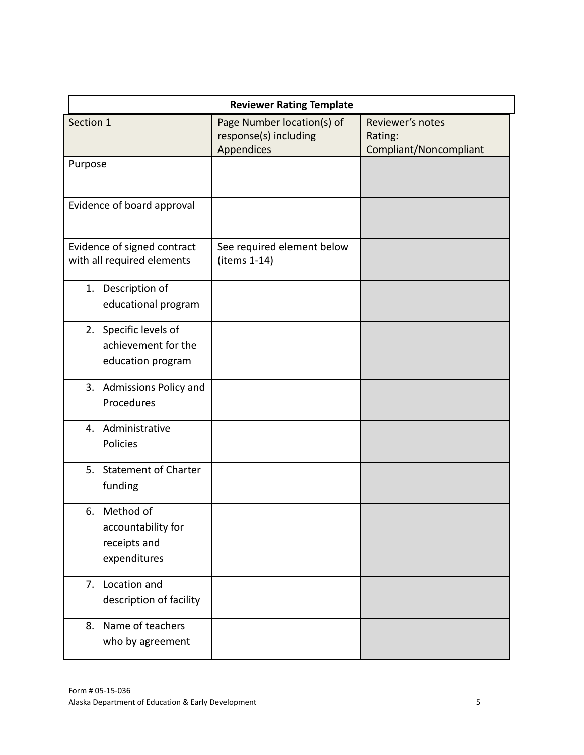| <b>Reviewer Rating Template</b>                                       |                                                                   |                                                       |  |
|-----------------------------------------------------------------------|-------------------------------------------------------------------|-------------------------------------------------------|--|
| Section 1                                                             | Page Number location(s) of<br>response(s) including<br>Appendices | Reviewer's notes<br>Rating:<br>Compliant/Noncompliant |  |
| Purpose                                                               |                                                                   |                                                       |  |
| Evidence of board approval                                            |                                                                   |                                                       |  |
| Evidence of signed contract<br>with all required elements             | See required element below<br>(items 1-14)                        |                                                       |  |
| 1. Description of<br>educational program                              |                                                                   |                                                       |  |
| 2. Specific levels of<br>achievement for the<br>education program     |                                                                   |                                                       |  |
| 3. Admissions Policy and<br>Procedures                                |                                                                   |                                                       |  |
| 4. Administrative<br>Policies                                         |                                                                   |                                                       |  |
| 5. Statement of Charter<br>funding                                    |                                                                   |                                                       |  |
| Method of<br>6.<br>accountability for<br>receipts and<br>expenditures |                                                                   |                                                       |  |
| 7. Location and<br>description of facility                            |                                                                   |                                                       |  |
| Name of teachers<br>8.<br>who by agreement                            |                                                                   |                                                       |  |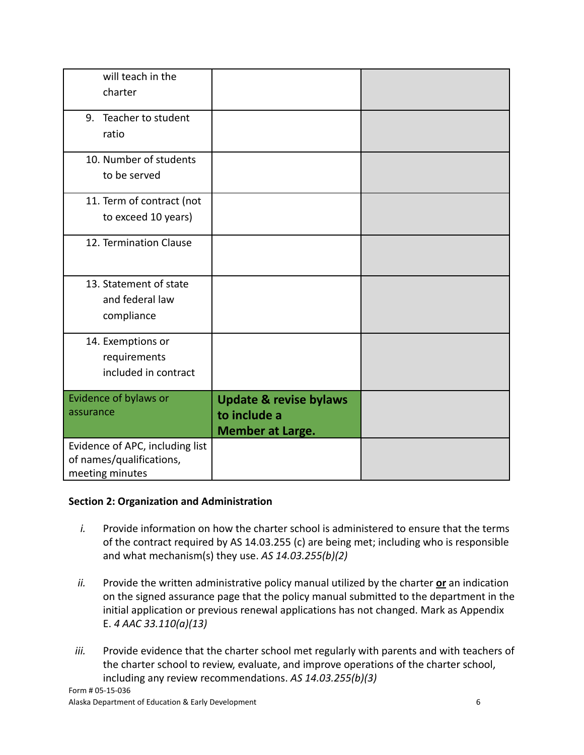| will teach in the<br>charter                                                   |                                                                              |  |
|--------------------------------------------------------------------------------|------------------------------------------------------------------------------|--|
| Teacher to student<br>9.<br>ratio                                              |                                                                              |  |
| 10. Number of students<br>to be served                                         |                                                                              |  |
| 11. Term of contract (not<br>to exceed 10 years)                               |                                                                              |  |
| 12. Termination Clause                                                         |                                                                              |  |
| 13. Statement of state<br>and federal law<br>compliance                        |                                                                              |  |
| 14. Exemptions or<br>requirements<br>included in contract                      |                                                                              |  |
| Evidence of bylaws or<br>assurance                                             | <b>Update &amp; revise bylaws</b><br>to include a<br><b>Member at Large.</b> |  |
| Evidence of APC, including list<br>of names/qualifications,<br>meeting minutes |                                                                              |  |

# **Section 2: Organization and Administration**

- *i.* Provide information on how the charter school is administered to ensure that the terms of the contract required by AS 14.03.255 (c) are being met; including who is responsible and what mechanism(s) they use. *AS 14.03.255(b)(2)*
- *ii.* Provide the written administrative policy manual utilized by the charter **or** an indication on the signed assurance page that the policy manual submitted to the department in the initial application or previous renewal applications has not changed. Mark as Appendix E. *4 AAC 33.110(a)(13)*
- *iii.* Provide evidence that the charter school met regularly with parents and with teachers of the charter school to review, evaluate, and improve operations of the charter school, including any review recommendations. *AS 14.03.255(b)(3)*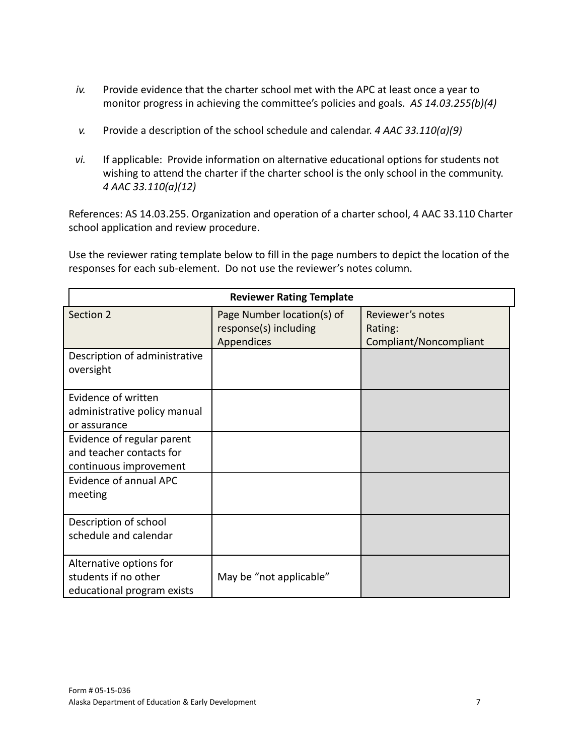- *iv.* Provide evidence that the charter school met with the APC at least once a year to monitor progress in achieving the committee's policies and goals. *AS 14.03.255(b)(4)*
- *v.* Provide a description of the school schedule and calendar. *4 AAC 33.110(a)(9)*
- *vi.* If applicable: Provide information on alternative educational options for students not wishing to attend the charter if the charter school is the only school in the community. *4 AAC 33.110(a)(12)*

References: AS 14.03.255. Organization and operation of a charter school, 4 AAC 33.110 Charter school application and review procedure.

| <b>Reviewer Rating Template</b>                                                  |                                                                   |                                                       |  |
|----------------------------------------------------------------------------------|-------------------------------------------------------------------|-------------------------------------------------------|--|
| Section 2                                                                        | Page Number location(s) of<br>response(s) including<br>Appendices | Reviewer's notes<br>Rating:<br>Compliant/Noncompliant |  |
| Description of administrative<br>oversight                                       |                                                                   |                                                       |  |
| Evidence of written<br>administrative policy manual<br>or assurance              |                                                                   |                                                       |  |
| Evidence of regular parent<br>and teacher contacts for<br>continuous improvement |                                                                   |                                                       |  |
| Evidence of annual APC<br>meeting                                                |                                                                   |                                                       |  |
| Description of school<br>schedule and calendar                                   |                                                                   |                                                       |  |
| Alternative options for<br>students if no other<br>educational program exists    | May be "not applicable"                                           |                                                       |  |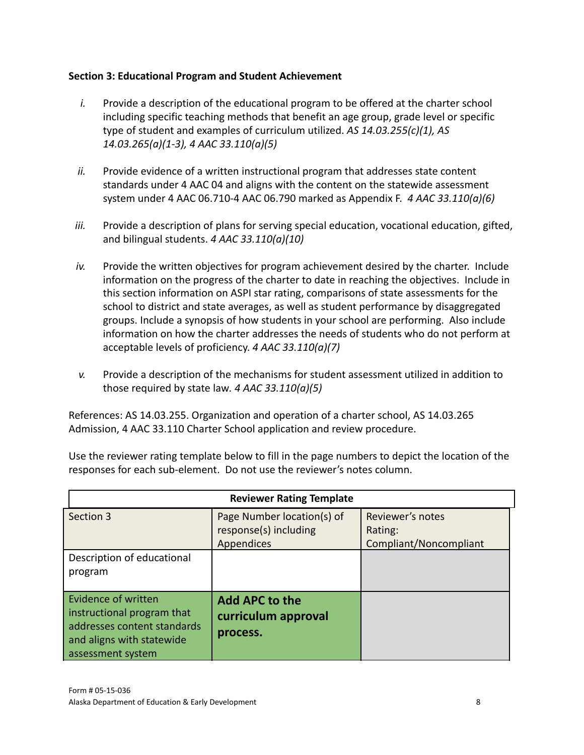# **Section 3: Educational Program and Student Achievement**

- *i.* Provide a description of the educational program to be offered at the charter school including specific teaching methods that benefit an age group, grade level or specific type of student and examples of curriculum utilized. *AS 14.03.255(c)(1), AS 14.03.265(a)(1-3), 4 AAC 33.110(a)(5)*
- *ii.* Provide evidence of a written instructional program that addresses state content standards under 4 AAC 04 and aligns with the content on the statewide assessment system under 4 AAC 06.710-4 AAC 06.790 marked as Appendix F. *4 AAC 33.110(a)(6)*
- iii. Provide a description of plans for serving special education, vocational education, gifted, and bilingual students. *4 AAC 33.110(a)(10)*
- *iv.* Provide the written objectives for program achievement desired by the charter. Include information on the progress of the charter to date in reaching the objectives. Include in this section information on ASPI star rating, comparisons of state assessments for the school to district and state averages, as well as student performance by disaggregated groups. Include a synopsis of how students in your school are performing. Also include information on how the charter addresses the needs of students who do not perform at acceptable levels of proficiency. *4 AAC 33.110(a)(7)*
- *v.* Provide a description of the mechanisms for student assessment utilized in addition to those required by state law*. 4 AAC 33.110(a)(5)*

References: AS 14.03.255. Organization and operation of a charter school, AS 14.03.265 Admission, 4 AAC 33.110 Charter School application and review procedure.

| <b>Reviewer Rating Template</b>                                                                                                    |                                                                   |                                                       |  |
|------------------------------------------------------------------------------------------------------------------------------------|-------------------------------------------------------------------|-------------------------------------------------------|--|
| Section 3                                                                                                                          | Page Number location(s) of<br>response(s) including<br>Appendices | Reviewer's notes<br>Rating:<br>Compliant/Noncompliant |  |
| Description of educational<br>program                                                                                              |                                                                   |                                                       |  |
| Evidence of written<br>instructional program that<br>addresses content standards<br>and aligns with statewide<br>assessment system | <b>Add APC to the</b><br>curriculum approval<br>process.          |                                                       |  |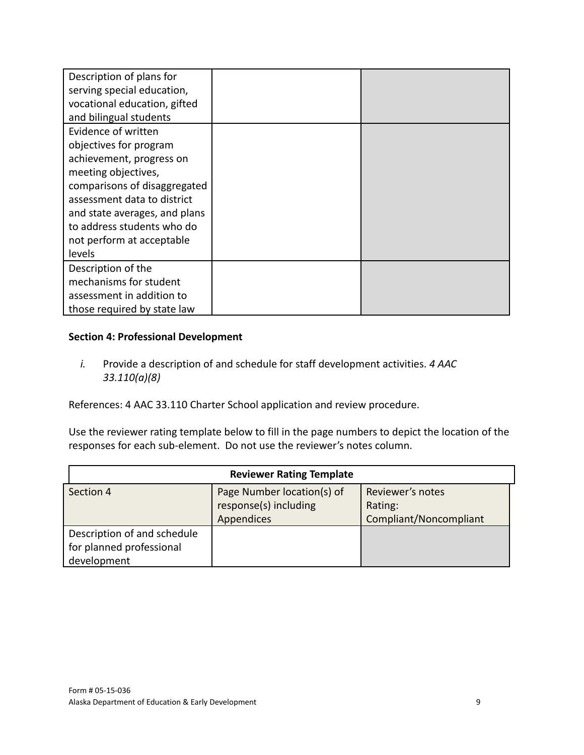| Description of plans for      |  |
|-------------------------------|--|
| serving special education,    |  |
| vocational education, gifted  |  |
| and bilingual students        |  |
| Evidence of written           |  |
| objectives for program        |  |
| achievement, progress on      |  |
| meeting objectives,           |  |
| comparisons of disaggregated  |  |
| assessment data to district   |  |
| and state averages, and plans |  |
| to address students who do    |  |
| not perform at acceptable     |  |
| levels                        |  |
| Description of the            |  |
| mechanisms for student        |  |
| assessment in addition to     |  |
| those required by state law   |  |

# **Section 4: Professional Development**

*i.* Provide a description of and schedule for staff development activities. *4 AAC 33.110(a)(8)*

References: 4 AAC 33.110 Charter School application and review procedure.

| <b>Reviewer Rating Template</b> |                            |                        |  |
|---------------------------------|----------------------------|------------------------|--|
| Section 4                       | Page Number location(s) of | Reviewer's notes       |  |
|                                 | response(s) including      | Rating:                |  |
|                                 | Appendices                 | Compliant/Noncompliant |  |
| Description of and schedule     |                            |                        |  |
| for planned professional        |                            |                        |  |
| development                     |                            |                        |  |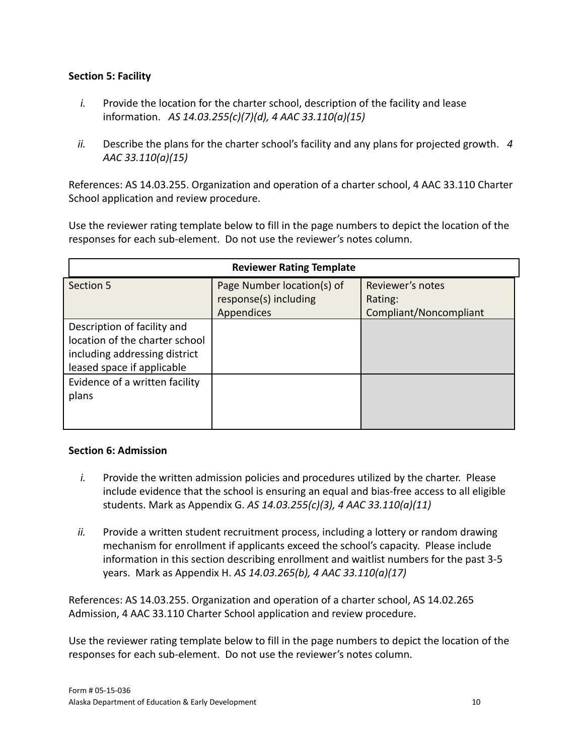#### **Section 5: Facility**

- *i.* Provide the location for the charter school, description of the facility and lease information. *AS 14.03.255(c)(7)(d), 4 AAC 33.110(a)(15)*
- *ii.* Describe the plans for the charter school's facility and any plans for projected growth. *4 AAC 33.110(a)(15)*

References: AS 14.03.255. Organization and operation of a charter school, 4 AAC 33.110 Charter School application and review procedure.

Use the reviewer rating template below to fill in the page numbers to depict the location of the responses for each sub-element. Do not use the reviewer's notes column.

| <b>Reviewer Rating Template</b>                                                                                              |                                                                   |                                                       |  |
|------------------------------------------------------------------------------------------------------------------------------|-------------------------------------------------------------------|-------------------------------------------------------|--|
| Section 5                                                                                                                    | Page Number location(s) of<br>response(s) including<br>Appendices | Reviewer's notes<br>Rating:<br>Compliant/Noncompliant |  |
| Description of facility and<br>location of the charter school<br>including addressing district<br>leased space if applicable |                                                                   |                                                       |  |
| Evidence of a written facility<br>plans                                                                                      |                                                                   |                                                       |  |

#### **Section 6: Admission**

- *i.* Provide the written admission policies and procedures utilized by the charter. Please include evidence that the school is ensuring an equal and bias-free access to all eligible students. Mark as Appendix G. *AS 14.03.255(c)(3), 4 AAC 33.110(a)(11)*
- *ii.* Provide a written student recruitment process, including a lottery or random drawing mechanism for enrollment if applicants exceed the school's capacity. Please include information in this section describing enrollment and waitlist numbers for the past 3-5 years. Mark as Appendix H. *AS 14.03.265(b), 4 AAC 33.110(a)(17)*

References: AS 14.03.255. Organization and operation of a charter school, AS 14.02.265 Admission, 4 AAC 33.110 Charter School application and review procedure.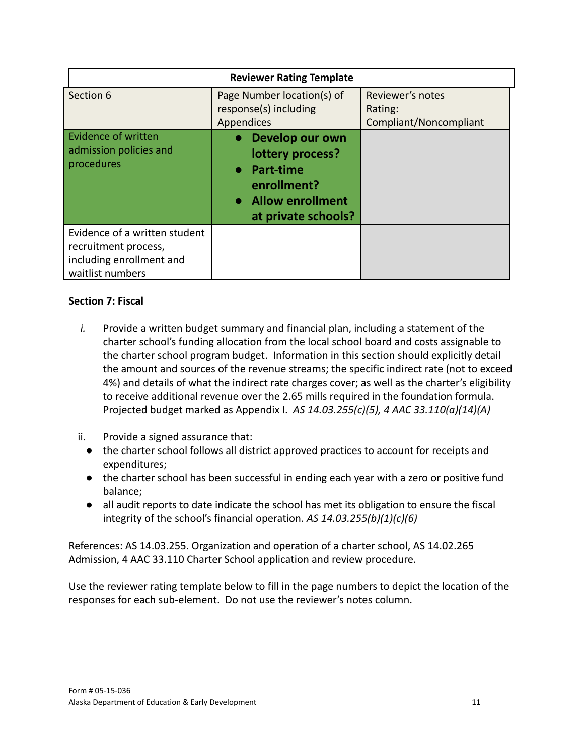|                                                                                                       | <b>Reviewer Rating Template</b>                                                                                  |                                                       |
|-------------------------------------------------------------------------------------------------------|------------------------------------------------------------------------------------------------------------------|-------------------------------------------------------|
| Section 6                                                                                             | Page Number location(s) of<br>response(s) including<br>Appendices                                                | Reviewer's notes<br>Rating:<br>Compliant/Noncompliant |
| <b>Evidence of written</b><br>admission policies and<br>procedures                                    | • Develop our own<br>lottery process?<br>• Part-time<br>enrollment?<br>• Allow enrollment<br>at private schools? |                                                       |
| Evidence of a written student<br>recruitment process,<br>including enrollment and<br>waitlist numbers |                                                                                                                  |                                                       |

#### **Section 7: Fiscal**

- *i.* Provide a written budget summary and financial plan, including a statement of the charter school's funding allocation from the local school board and costs assignable to the charter school program budget. Information in this section should explicitly detail the amount and sources of the revenue streams; the specific indirect rate (not to exceed 4%) and details of what the indirect rate charges cover; as well as the charter's eligibility to receive additional revenue over the 2.65 mills required in the foundation formula. Projected budget marked as Appendix I. *AS 14.03.255(c)(5), 4 AAC 33.110(a)(14)(A)*
- ii. Provide a signed assurance that:
	- the charter school follows all district approved practices to account for receipts and expenditures;
	- the charter school has been successful in ending each year with a zero or positive fund balance;
	- all audit reports to date indicate the school has met its obligation to ensure the fiscal integrity of the school's financial operation. *AS 14.03.255(b)(1)(c)(6)*

References: AS 14.03.255. Organization and operation of a charter school, AS 14.02.265 Admission, 4 AAC 33.110 Charter School application and review procedure.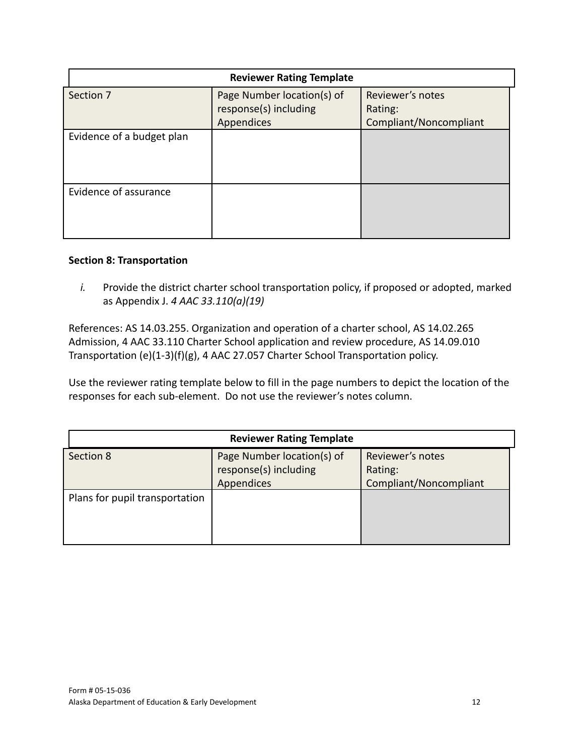| <b>Reviewer Rating Template</b> |                            |                        |  |
|---------------------------------|----------------------------|------------------------|--|
| Section 7                       | Page Number location(s) of | Reviewer's notes       |  |
|                                 | response(s) including      | Rating:                |  |
|                                 | Appendices                 | Compliant/Noncompliant |  |
| Evidence of a budget plan       |                            |                        |  |
| Evidence of assurance           |                            |                        |  |

#### **Section 8: Transportation**

*i.* Provide the district charter school transportation policy, if proposed or adopted, marked as Appendix J. *4 AAC 33.110(a)(19)*

References: AS 14.03.255. Organization and operation of a charter school, AS 14.02.265 Admission, 4 AAC 33.110 Charter School application and review procedure, AS 14.09.010 Transportation (e)(1-3)(f)(g), 4 AAC 27.057 Charter School Transportation policy.

| <b>Reviewer Rating Template</b> |                                                                   |                                                       |  |
|---------------------------------|-------------------------------------------------------------------|-------------------------------------------------------|--|
| Section 8                       | Page Number location(s) of<br>response(s) including<br>Appendices | Reviewer's notes<br>Rating:<br>Compliant/Noncompliant |  |
| Plans for pupil transportation  |                                                                   |                                                       |  |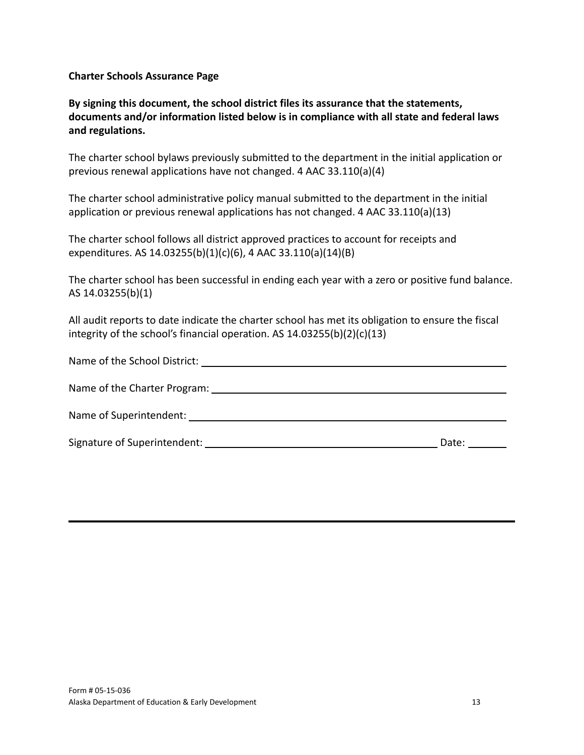**Charter Schools Assurance Page**

**By signing this document, the school district files its assurance that the statements, documents and/or information listed below is in compliance with all state and federal laws and regulations.**

The charter school bylaws previously submitted to the department in the initial application or previous renewal applications have not changed. 4 AAC 33.110(a)(4)

The charter school administrative policy manual submitted to the department in the initial application or previous renewal applications has not changed. 4 AAC 33.110(a)(13)

The charter school follows all district approved practices to account for receipts and expenditures. AS 14.03255(b)(1)(c)(6), 4 AAC 33.110(a)(14)(B)

The charter school has been successful in ending each year with a zero or positive fund balance. AS 14.03255(b)(1)

All audit reports to date indicate the charter school has met its obligation to ensure the fiscal integrity of the school's financial operation. AS 14.03255(b)(2)(c)(13)

| Date: the controller |
|----------------------|
|                      |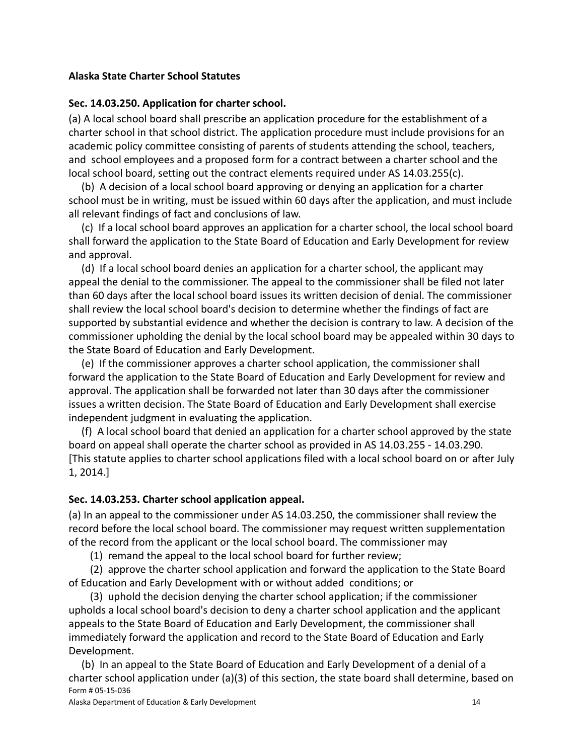#### **Alaska State Charter School Statutes**

#### **Sec. 14.03.250. Application for charter school.**

(a) A local school board shall prescribe an application procedure for the establishment of a charter school in that school district. The application procedure must include provisions for an academic policy committee consisting of parents of students attending the school, teachers, and school employees and a proposed form for a contract between a charter school and the local school board, setting out the contract elements required under [AS 14.03.255\(](http://www.legis.state.ak.us/basis/statutes.asp#14.03.255)c).

(b) A decision of a local school board approving or denying an application for a charter school must be in writing, must be issued within 60 days after the application, and must include all relevant findings of fact and conclusions of law.

(c) If a local school board approves an application for a charter school, the local school board shall forward the application to the State Board of Education and Early Development for review and approval.

(d) If a local school board denies an application for a charter school, the applicant may appeal the denial to the commissioner. The appeal to the commissioner shall be filed not later than 60 days after the local school board issues its written decision of denial. The commissioner shall review the local school board's decision to determine whether the findings of fact are supported by substantial evidence and whether the decision is contrary to law. A decision of the commissioner upholding the denial by the local school board may be appealed within 30 days to the State Board of Education and Early Development.

(e) If the commissioner approves a charter school application, the commissioner shall forward the application to the State Board of Education and Early Development for review and approval. The application shall be forwarded not later than 30 days after the commissioner issues a written decision. The State Board of Education and Early Development shall exercise independent judgment in evaluating the application.

(f) A local school board that denied an application for a charter school approved by the state board on appeal shall operate the charter school as provided in [AS 14.03.255](http://www.legis.state.ak.us/basis/statutes.asp#14.03.255) - 14.03.290. [This statute applies to charter school applications filed with a local school board on or after July 1, 2014.]

# **Sec. 14.03.253. Charter school application appeal.**

(a) In an appeal to the commissioner under [AS 14.03.250](http://www.legis.state.ak.us/basis/statutes.asp#14.03.250), the commissioner shall review the record before the local school board. The commissioner may request written supplementation of the record from the applicant or the local school board. The commissioner may

(1) remand the appeal to the local school board for further review;

(2) approve the charter school application and forward the application to the State Board of Education and Early Development with or without added conditions; or

(3) uphold the decision denying the charter school application; if the commissioner upholds a local school board's decision to deny a charter school application and the applicant appeals to the State Board of Education and Early Development, the commissioner shall immediately forward the application and record to the State Board of Education and Early Development.

(b) In an appeal to the State Board of Education and Early Development of a denial of a charter school application under (a)(3) of this section, the state board shall determine, based on Form # 05-15-036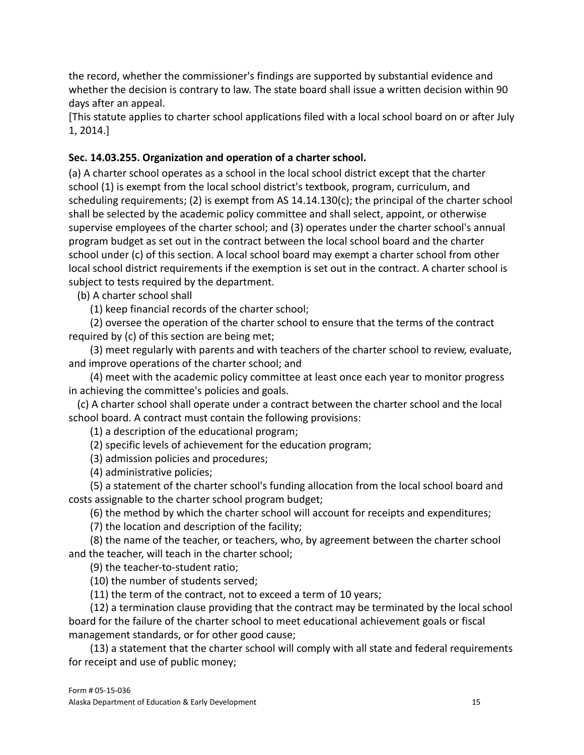the record, whether the commissioner's findings are supported by substantial evidence and whether the decision is contrary to law. The state board shall issue a written decision within 90 days after an appeal.

[This statute applies to charter school applications filed with a local school board on or after July 1, 2014.]

# **Sec. 14.03.255. Organization and operation of a charter school.**

(a) A charter school operates as a school in the local school district except that the charter school (1) is exempt from the local school district's textbook, program, curriculum, and scheduling requirements; (2) is exempt from [AS 14.14.130](http://www.legis.state.ak.us/basis/statutes.asp#14.14.130)(c); the principal of the charter school shall be selected by the academic policy committee and shall select, appoint, or otherwise supervise employees of the charter school; and (3) operates under the charter school's annual program budget as set out in the contract between the local school board and the charter school under (c) of this section. A local school board may exempt a charter school from other local school district requirements if the exemption is set out in the contract. A charter school is subject to tests required by the department.

(b) A charter school shall

(1) keep financial records of the charter school;

(2) oversee the operation of the charter school to ensure that the terms of the contract required by (c) of this section are being met;

(3) meet regularly with parents and with teachers of the charter school to review, evaluate, and improve operations of the charter school; and

(4) meet with the academic policy committee at least once each year to monitor progress in achieving the committee's policies and goals.

(c) A charter school shall operate under a contract between the charter school and the local school board. A contract must contain the following provisions:

(1) a description of the educational program;

(2) specific levels of achievement for the education program;

(3) admission policies and procedures;

(4) administrative policies;

(5) a statement of the charter school's funding allocation from the local school board and costs assignable to the charter school program budget;

(6) the method by which the charter school will account for receipts and expenditures;

(7) the location and description of the facility;

(8) the name of the teacher, or teachers, who, by agreement between the charter school and the teacher, will teach in the charter school;

(9) the teacher-to-student ratio;

(10) the number of students served;

(11) the term of the contract, not to exceed a term of 10 years;

(12) a termination clause providing that the contract may be terminated by the local school board for the failure of the charter school to meet educational achievement goals or fiscal management standards, or for other good cause;

(13) a statement that the charter school will comply with all state and federal requirements for receipt and use of public money;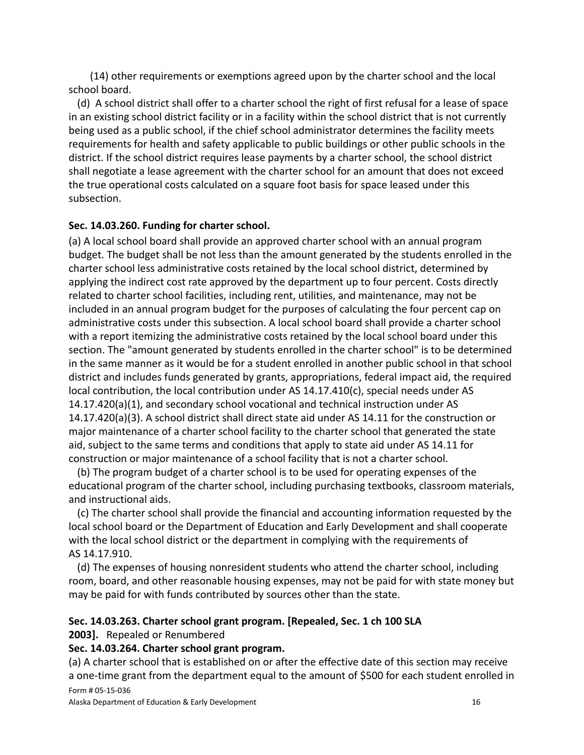(14) other requirements or exemptions agreed upon by the charter school and the local school board.

(d) A school district shall offer to a charter school the right of first refusal for a lease of space in an existing school district facility or in a facility within the school district that is not currently being used as a public school, if the chief school administrator determines the facility meets requirements for health and safety applicable to public buildings or other public schools in the district. If the school district requires lease payments by a charter school, the school district shall negotiate a lease agreement with the charter school for an amount that does not exceed the true operational costs calculated on a square foot basis for space leased under this subsection.

# **Sec. 14.03.260. Funding for charter school.**

(a) A local school board shall provide an approved charter school with an annual program budget. The budget shall be not less than the amount generated by the students enrolled in the charter school less administrative costs retained by the local school district, determined by applying the indirect cost rate approved by the department up to four percent. Costs directly related to charter school facilities, including rent, utilities, and maintenance, may not be included in an annual program budget for the purposes of calculating the four percent cap on administrative costs under this subsection. A local school board shall provide a charter school with a report itemizing the administrative costs retained by the local school board under this section. The "amount generated by students enrolled in the charter school" is to be determined in the same manner as it would be for a student enrolled in another public school in that school district and includes funds generated by grants, appropriations, federal impact aid, the required local contribution, the local contribution under AS [14.17.410](http://www.legis.state.ak.us/basis/statutes.asp#14.17.410)(c), special needs under [AS](http://www.legis.state.ak.us/basis/statutes.asp#14.17.420) [14.17.420\(](http://www.legis.state.ak.us/basis/statutes.asp#14.17.420)a)(1), and secondary school vocational and technical instruction under [AS](http://www.legis.state.ak.us/basis/statutes.asp#14.17.420) [14.17.420\(](http://www.legis.state.ak.us/basis/statutes.asp#14.17.420)a)(3). A school district shall direct state aid under [AS 14.11](http://www.legis.state.ak.us/basis/statutes.asp#14.11) for the construction or major maintenance of a charter school facility to the charter school that generated the state aid, subject to the same terms and conditions that apply to state aid under [AS 14.11](http://www.legis.state.ak.us/basis/statutes.asp#14.11) for construction or major maintenance of a school facility that is not a charter school.

(b) The program budget of a charter school is to be used for operating expenses of the educational program of the charter school, including purchasing textbooks, classroom materials, and instructional aids.

(c) The charter school shall provide the financial and accounting information requested by the local school board or the Department of Education and Early Development and shall cooperate with the local school district or the department in complying with the requirements of [AS 14.17.910.](http://www.legis.state.ak.us/basis/statutes.asp#14.17.910)

(d) The expenses of housing nonresident students who attend the charter school, including room, board, and other reasonable housing expenses, may not be paid for with state money but may be paid for with funds contributed by sources other than the state.

# **Sec. 14.03.263. Charter school grant program. [Repealed, Sec. 1 ch 100 SLA**

**2003].** Repealed or Renumbered

# **Sec. 14.03.264. Charter school grant program.**

(a) A charter school that is established on or after the effective date of this section may receive a one-time grant from the department equal to the amount of \$500 for each student enrolled in Form # 05-15-036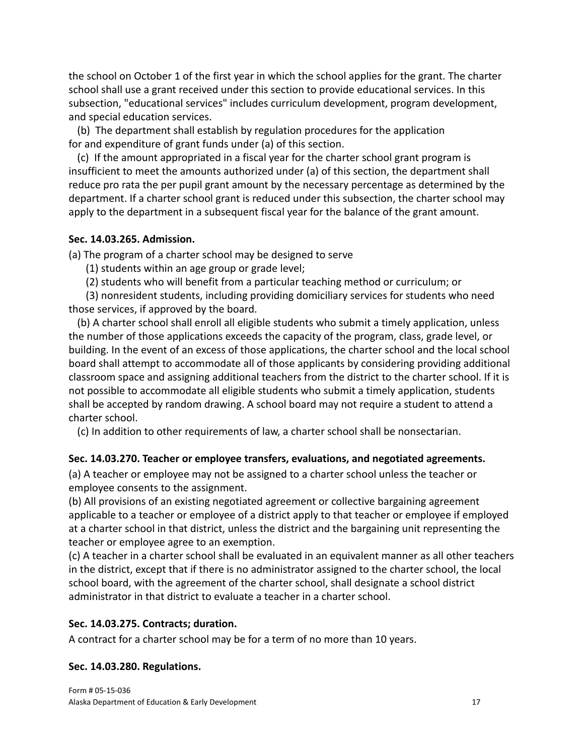the school on October 1 of the first year in which the school applies for the grant. The charter school shall use a grant received under this section to provide educational services. In this subsection, "educational services" includes curriculum development, program development, and special education services.

(b) The department shall establish by regulation procedures for the application for and expenditure of grant funds under (a) of this section.

(c) If the amount appropriated in a fiscal year for the charter school grant program is insufficient to meet the amounts authorized under (a) of this section, the department shall reduce pro rata the per pupil grant amount by the necessary percentage as determined by the department. If a charter school grant is reduced under this subsection, the charter school may apply to the department in a subsequent fiscal year for the balance of the grant amount.

#### **Sec. 14.03.265. Admission.**

(a) The program of a charter school may be designed to serve

(1) students within an age group or grade level;

(2) students who will benefit from a particular teaching method or curriculum; or

(3) nonresident students, including providing domiciliary services for students who need those services, if approved by the board.

(b) A charter school shall enroll all eligible students who submit a timely application, unless the number of those applications exceeds the capacity of the program, class, grade level, or building. In the event of an excess of those applications, the charter school and the local school board shall attempt to accommodate all of those applicants by considering providing additional classroom space and assigning additional teachers from the district to the charter school. If it is not possible to accommodate all eligible students who submit a timely application, students shall be accepted by random drawing. A school board may not require a student to attend a charter school.

(c) In addition to other requirements of law, a charter school shall be nonsectarian.

# **Sec. 14.03.270. Teacher or employee transfers, evaluations, and negotiated agreements.**

(a) A teacher or employee may not be assigned to a charter school unless the teacher or employee consents to the assignment.

(b) All provisions of an existing negotiated agreement or collective bargaining agreement applicable to a teacher or employee of a district apply to that teacher or employee if employed at a charter school in that district, unless the district and the bargaining unit representing the teacher or employee agree to an exemption.

(c) A teacher in a charter school shall be evaluated in an equivalent manner as all other teachers in the district, except that if there is no administrator assigned to the charter school, the local school board, with the agreement of the charter school, shall designate a school district administrator in that district to evaluate a teacher in a charter school.

# **Sec. 14.03.275. Contracts; duration.**

A contract for a charter school may be for a term of no more than 10 years.

# **Sec. 14.03.280. Regulations.**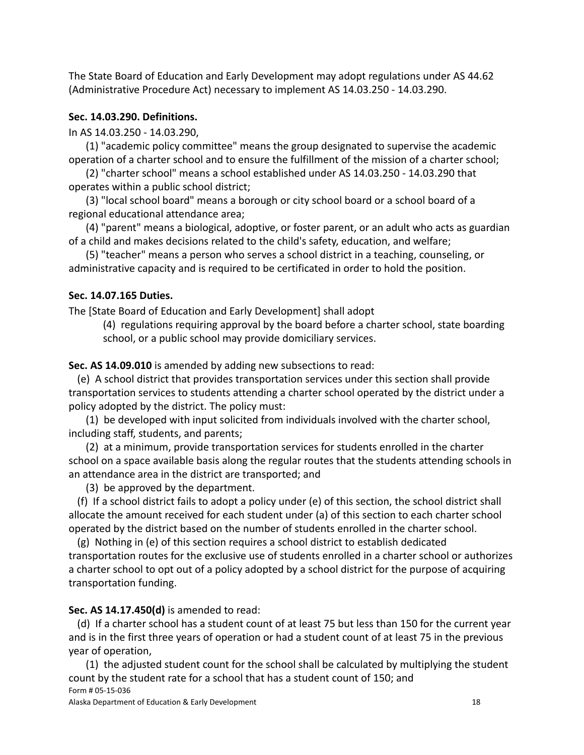The State Board of Education and Early Development may adopt regulations under [AS 44.62](http://www.legis.state.ak.us/basis/statutes.asp#44.62) (Administrative Procedure Act) necessary to implement [AS 14.03.250](http://www.legis.state.ak.us/basis/statutes.asp#14.03.250) - 14.03.290.

#### **Sec. 14.03.290. Definitions.**

In [AS 14.03.250](http://www.legis.state.ak.us/basis/statutes.asp#14.03.250) - 14.03.290,

(1) "academic policy committee" means the group designated to supervise the academic operation of a charter school and to ensure the fulfillment of the mission of a charter school;

(2) "charter school" means a school established under [AS 14.03.250](http://www.legis.state.ak.us/basis/statutes.asp#14.03.250) - 14.03.290 that operates within a public school district;

(3) "local school board" means a borough or city school board or a school board of a regional educational attendance area;

(4) "parent" means a biological, adoptive, or foster parent, or an adult who acts as guardian of a child and makes decisions related to the child's safety, education, and welfare;

(5) "teacher" means a person who serves a school district in a teaching, counseling, or administrative capacity and is required to be certificated in order to hold the position.

# **Sec. 14.07.165 Duties.**

The [State Board of Education and Early Development] shall adopt

(4) regulations requiring approval by the board before a charter school, state boarding school, or a public school may provide domiciliary services.

**Sec. [AS 14.09.010](http://www.legis.state.ak.us/basis/statutes.asp#14.09.010)** is amended by adding new subsections to read:

(e) A school district that provides transportation services under this section shall provide transportation services to students attending a charter school operated by the district under a policy adopted by the district. The policy must:

(1) be developed with input solicited from individuals involved with the charter school, including staff, students, and parents;

(2) at a minimum, provide transportation services for students enrolled in the charter school on a space available basis along the regular routes that the students attending schools in an attendance area in the district are transported; and

(3) be approved by the department.

(f) If a school district fails to adopt a policy under (e) of this section, the school district shall allocate the amount received for each student under (a) of this section to each charter school operated by the district based on the number of students enrolled in the charter school.

(g) Nothing in (e) of this section requires a school district to establish dedicated transportation routes for the exclusive use of students enrolled in a charter school or authorizes a charter school to opt out of a policy adopted by a school district for the purpose of acquiring transportation funding.

# **Sec. [AS 14.17.450](http://www.legis.state.ak.us/basis/statutes.asp#14.17.450)(d)** is amended to read:

(d) If a charter school has a student count of at least 75 but less than 150 for the current year and is in the first three years of operation or had a student count of at least 75 in the previous year of operation,

(1) the adjusted student count for the school shall be calculated by multiplying the student count by the student rate for a school that has a student count of 150; and Form # 05-15-036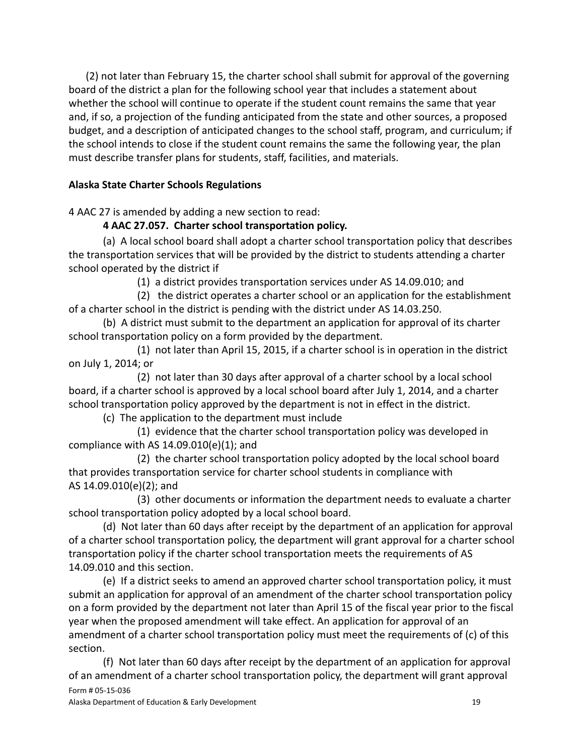(2) not later than February 15, the charter school shall submit for approval of the governing board of the district a plan for the following school year that includes a statement about whether the school will continue to operate if the student count remains the same that year and, if so, a projection of the funding anticipated from the state and other sources, a proposed budget, and a description of anticipated changes to the school staff, program, and curriculum; if the school intends to close if the student count remains the same the following year, the plan must describe transfer plans for students, staff, facilities, and materials.

# **Alaska State Charter Schools Regulations**

4 AAC 27 is amended by adding a new section to read:

# **4 AAC 27.057. Charter school transportation policy.**

(a) A local school board shall adopt a charter school transportation policy that describes the transportation services that will be provided by the district to students attending a charter school operated by the district if

(1) a district provides transportation services under AS 14.09.010; and

(2) the district operates a charter school or an application for the establishment of a charter school in the district is pending with the district under AS 14.03.250.

(b) A district must submit to the department an application for approval of its charter school transportation policy on a form provided by the department.

(1) not later than April 15, 2015, if a charter school is in operation in the district on July 1, 2014; or

(2) not later than 30 days after approval of a charter school by a local school board, if a charter school is approved by a local school board after July 1, 2014, and a charter school transportation policy approved by the department is not in effect in the district.

(c) The application to the department must include

(1) evidence that the charter school transportation policy was developed in compliance with AS 14.09.010(e)(1); and

(2) the charter school transportation policy adopted by the local school board that provides transportation service for charter school students in compliance with AS 14.09.010(e)(2); and

(3) other documents or information the department needs to evaluate a charter school transportation policy adopted by a local school board.

(d) Not later than 60 days after receipt by the department of an application for approval of a charter school transportation policy, the department will grant approval for a charter school transportation policy if the charter school transportation meets the requirements of AS 14.09.010 and this section.

(e) If a district seeks to amend an approved charter school transportation policy, it must submit an application for approval of an amendment of the charter school transportation policy on a form provided by the department not later than April 15 of the fiscal year prior to the fiscal year when the proposed amendment will take effect. An application for approval of an amendment of a charter school transportation policy must meet the requirements of (c) of this section.

(f) Not later than 60 days after receipt by the department of an application for approval of an amendment of a charter school transportation policy, the department will grant approval Form # 05-15-036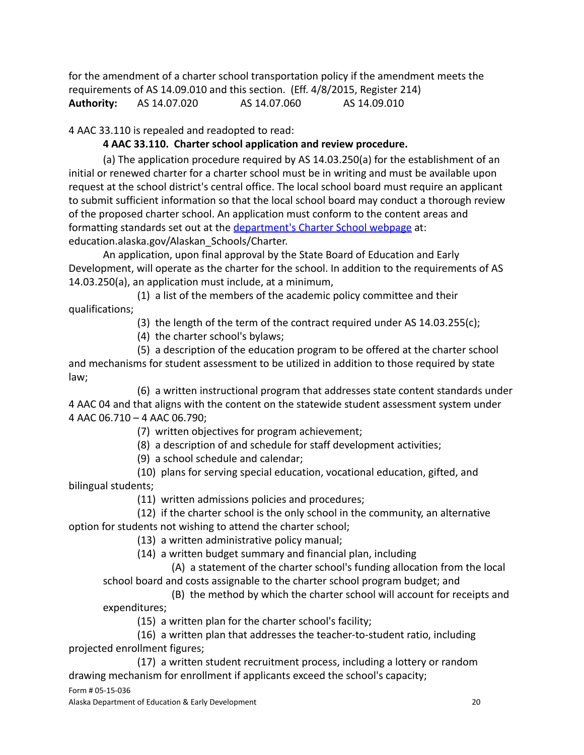for the amendment of a charter school transportation policy if the amendment meets the requirements of AS 14.09.010 and this section. (Eff. 4/8/2015, Register 214) **Authority:** AS 14.07.020 AS 14.07.060 AS 14.09.010

4 AAC 33.110 is repealed and readopted to read:

# **4 AAC 33.110. Charter school application and review procedure.**

(a) The application procedure required by AS 14.03.250(a) for the establishment of an initial or renewed charter for a charter school must be in writing and must be available upon request at the school district's central office. The local school board must require an applicant to submit sufficient information so that the local school board may conduct a thorough review of the proposed charter school. An application must conform to the content areas and formatting standards set out at the [department's Charter](https://education.alaska.gov/Alaskan_Schools/Charter) School webpage at: education.alaska.gov/Alaskan\_Schools/Charter.

An application, upon final approval by the State Board of Education and Early Development, will operate as the charter for the school. In addition to the requirements of AS 14.03.250(a), an application must include, at a minimum,

(1) a list of the members of the academic policy committee and their qualifications;

(3) the length of the term of the contract required under AS 14.03.255(c);

(4) the charter school's bylaws;

(5) a description of the education program to be offered at the charter school and mechanisms for student assessment to be utilized in addition to those required by state law;

(6) a written instructional program that addresses state content standards under 4 AAC 04 and that aligns with the content on the statewide student assessment system under 4 AAC 06.710 – 4 AAC 06.790;

(7) written objectives for program achievement;

(8) a description of and schedule for staff development activities;

(9) a school schedule and calendar;

(10) plans for serving special education, vocational education, gifted, and bilingual students;

(11) written admissions policies and procedures;

(12) if the charter school is the only school in the community, an alternative option for students not wishing to attend the charter school;

(13) a written administrative policy manual;

(14) a written budget summary and financial plan, including

(A) a statement of the charter school's funding allocation from the local school board and costs assignable to the charter school program budget; and

(B) the method by which the charter school will account for receipts and expenditures;

(15) a written plan for the charter school's facility;

(16) a written plan that addresses the teacher-to-student ratio, including projected enrollment figures;

(17) a written student recruitment process, including a lottery or random drawing mechanism for enrollment if applicants exceed the school's capacity;

Form # 05-15-036

Alaska Department of Education & Early Development 20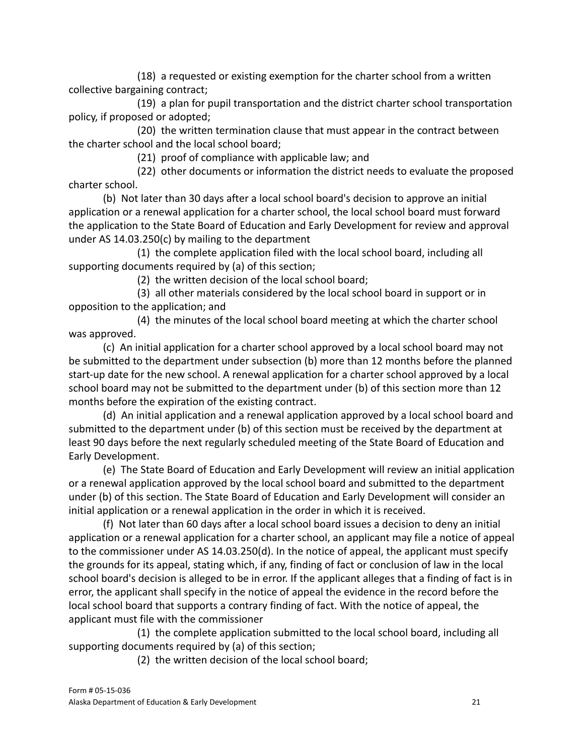(18) a requested or existing exemption for the charter school from a written collective bargaining contract;

(19) a plan for pupil transportation and the district charter school transportation policy, if proposed or adopted;

(20) the written termination clause that must appear in the contract between the charter school and the local school board;

(21) proof of compliance with applicable law; and

(22) other documents or information the district needs to evaluate the proposed charter school.

(b) Not later than 30 days after a local school board's decision to approve an initial application or a renewal application for a charter school, the local school board must forward the application to the State Board of Education and Early Development for review and approval under AS 14.03.250(c) by mailing to the department

(1) the complete application filed with the local school board, including all supporting documents required by (a) of this section;

(2) the written decision of the local school board;

(3) all other materials considered by the local school board in support or in opposition to the application; and

(4) the minutes of the local school board meeting at which the charter school was approved.

(c) An initial application for a charter school approved by a local school board may not be submitted to the department under subsection (b) more than 12 months before the planned start-up date for the new school. A renewal application for a charter school approved by a local school board may not be submitted to the department under (b) of this section more than 12 months before the expiration of the existing contract.

(d) An initial application and a renewal application approved by a local school board and submitted to the department under (b) of this section must be received by the department at least 90 days before the next regularly scheduled meeting of the State Board of Education and Early Development.

(e) The State Board of Education and Early Development will review an initial application or a renewal application approved by the local school board and submitted to the department under (b) of this section. The State Board of Education and Early Development will consider an initial application or a renewal application in the order in which it is received.

(f) Not later than 60 days after a local school board issues a decision to deny an initial application or a renewal application for a charter school, an applicant may file a notice of appeal to the commissioner under AS 14.03.250(d). In the notice of appeal, the applicant must specify the grounds for its appeal, stating which, if any, finding of fact or conclusion of law in the local school board's decision is alleged to be in error. If the applicant alleges that a finding of fact is in error, the applicant shall specify in the notice of appeal the evidence in the record before the local school board that supports a contrary finding of fact. With the notice of appeal, the applicant must file with the commissioner

(1) the complete application submitted to the local school board, including all supporting documents required by (a) of this section;

(2) the written decision of the local school board;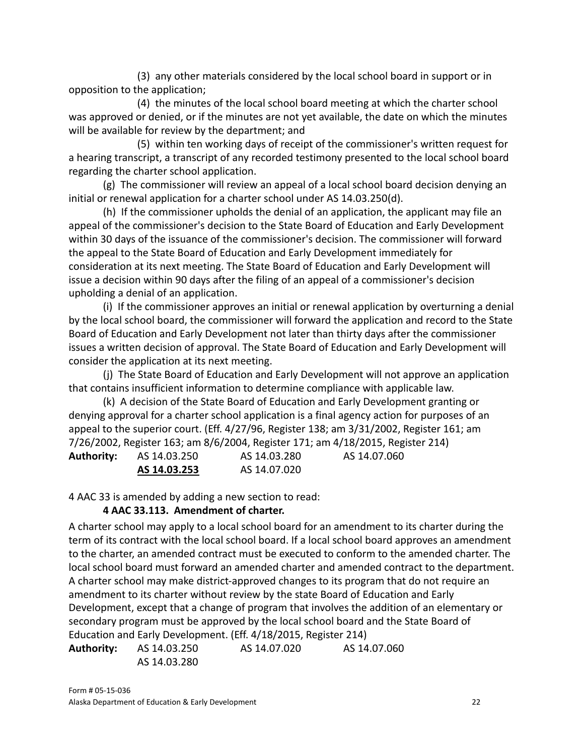(3) any other materials considered by the local school board in support or in opposition to the application;

(4) the minutes of the local school board meeting at which the charter school was approved or denied, or if the minutes are not yet available, the date on which the minutes will be available for review by the department; and

(5) within ten working days of receipt of the commissioner's written request for a hearing transcript, a transcript of any recorded testimony presented to the local school board regarding the charter school application.

(g) The commissioner will review an appeal of a local school board decision denying an initial or renewal application for a charter school under AS 14.03.250(d).

(h) If the commissioner upholds the denial of an application, the applicant may file an appeal of the commissioner's decision to the State Board of Education and Early Development within 30 days of the issuance of the commissioner's decision. The commissioner will forward the appeal to the State Board of Education and Early Development immediately for consideration at its next meeting. The State Board of Education and Early Development will issue a decision within 90 days after the filing of an appeal of a commissioner's decision upholding a denial of an application.

(i) If the commissioner approves an initial or renewal application by overturning a denial by the local school board, the commissioner will forward the application and record to the State Board of Education and Early Development not later than thirty days after the commissioner issues a written decision of approval. The State Board of Education and Early Development will consider the application at its next meeting.

(j) The State Board of Education and Early Development will not approve an application that contains insufficient information to determine compliance with applicable law.

(k) A decision of the State Board of Education and Early Development granting or denying approval for a charter school application is a final agency action for purposes of an appeal to the superior court. (Eff. 4/27/96, Register 138; am 3/31/2002, Register 161; am 7/26/2002, Register 163; am 8/6/2004, Register 171; am 4/18/2015, Register 214)

| <b>Authority:</b> | AS 14.03.250 | AS 14.03.280 | AS 14.07.060 |
|-------------------|--------------|--------------|--------------|
|                   | AS 14.03.253 | AS 14.07.020 |              |

4 AAC 33 is amended by adding a new section to read:

# **4 AAC 33.113. Amendment of charter.**

A charter school may apply to a local school board for an amendment to its charter during the term of its contract with the local school board. If a local school board approves an amendment to the charter, an amended contract must be executed to conform to the amended charter. The local school board must forward an amended charter and amended contract to the department. A charter school may make district-approved changes to its program that do not require an amendment to its charter without review by the state Board of Education and Early Development, except that a change of program that involves the addition of an elementary or secondary program must be approved by the local school board and the State Board of Education and Early Development. (Eff. 4/18/2015, Register 214)

**Authority:** AS 14.03.250 AS 14.07.020 AS 14.07.060 AS 14.03.280